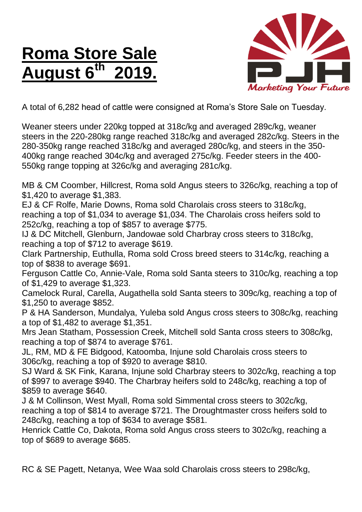## **Roma Store Sale August 6 th 2019.**



A total of 6,282 head of cattle were consigned at Roma's Store Sale on Tuesday.

Weaner steers under 220kg topped at 318c/kg and averaged 289c/kg, weaner steers in the 220-280kg range reached 318c/kg and averaged 282c/kg. Steers in the 280-350kg range reached 318c/kg and averaged 280c/kg, and steers in the 350- 400kg range reached 304c/kg and averaged 275c/kg. Feeder steers in the 400- 550kg range topping at 326c/kg and averaging 281c/kg.

MB & CM Coomber, Hillcrest, Roma sold Angus steers to 326c/kg, reaching a top of \$1,420 to average \$1,383.

EJ & CF Rolfe, Marie Downs, Roma sold Charolais cross steers to 318c/kg, reaching a top of \$1,034 to average \$1,034. The Charolais cross heifers sold to 252c/kg, reaching a top of \$857 to average \$775.

IJ & DC Mitchell, Glenburn, Jandowae sold Charbray cross steers to 318c/kg, reaching a top of \$712 to average \$619.

Clark Partnership, Euthulla, Roma sold Cross breed steers to 314c/kg, reaching a top of \$838 to average \$691.

Ferguson Cattle Co, Annie-Vale, Roma sold Santa steers to 310c/kg, reaching a top of \$1,429 to average \$1,323.

Camelock Rural, Carella, Augathella sold Santa steers to 309c/kg, reaching a top of \$1,250 to average \$852.

P & HA Sanderson, Mundalya, Yuleba sold Angus cross steers to 308c/kg, reaching a top of \$1,482 to average \$1,351.

Mrs Jean Statham, Possession Creek, Mitchell sold Santa cross steers to 308c/kg, reaching a top of \$874 to average \$761.

JL, RM, MD & FE Bidgood, Katoomba, Injune sold Charolais cross steers to 306c/kg, reaching a top of \$920 to average \$810.

SJ Ward & SK Fink, Karana, Injune sold Charbray steers to 302c/kg, reaching a top of \$997 to average \$940. The Charbray heifers sold to 248c/kg, reaching a top of \$859 to average \$640.

J & M Collinson, West Myall, Roma sold Simmental cross steers to 302c/kg, reaching a top of \$814 to average \$721. The Droughtmaster cross heifers sold to 248c/kg, reaching a top of \$634 to average \$581.

Henrick Cattle Co, Dakota, Roma sold Angus cross steers to 302c/kg, reaching a top of \$689 to average \$685.

RC & SE Pagett, Netanya, Wee Waa sold Charolais cross steers to 298c/kg,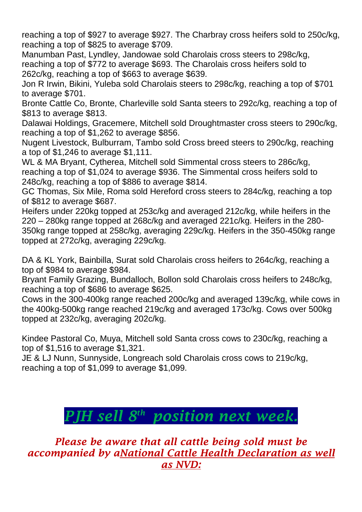reaching a top of \$927 to average \$927. The Charbray cross heifers sold to 250c/kg, reaching a top of \$825 to average \$709.

Manumban Past, Lyndley, Jandowae sold Charolais cross steers to 298c/kg, reaching a top of \$772 to average \$693. The Charolais cross heifers sold to 262c/kg, reaching a top of \$663 to average \$639.

Jon R Irwin, Bikini, Yuleba sold Charolais steers to 298c/kg, reaching a top of \$701 to average \$701.

Bronte Cattle Co, Bronte, Charleville sold Santa steers to 292c/kg, reaching a top of \$813 to average \$813.

Dalawai Holdings, Gracemere, Mitchell sold Droughtmaster cross steers to 290c/kg, reaching a top of \$1,262 to average \$856.

Nugent Livestock, Bulburram, Tambo sold Cross breed steers to 290c/kg, reaching a top of \$1,246 to average \$1,111.

WL & MA Bryant, Cytherea, Mitchell sold Simmental cross steers to 286c/kg, reaching a top of \$1,024 to average \$936. The Simmental cross heifers sold to 248c/kg, reaching a top of \$886 to average \$814.

GC Thomas, Six Mile, Roma sold Hereford cross steers to 284c/kg, reaching a top of \$812 to average \$687.

Heifers under 220kg topped at 253c/kg and averaged 212c/kg, while heifers in the 220 – 280kg range topped at 268c/kg and averaged 221c/kg. Heifers in the 280- 350kg range topped at 258c/kg, averaging 229c/kg. Heifers in the 350-450kg range topped at 272c/kg, averaging 229c/kg.

DA & KL York, Bainbilla, Surat sold Charolais cross heifers to 264c/kg, reaching a top of \$984 to average \$984.

Bryant Family Grazing, Bundalloch, Bollon sold Charolais cross heifers to 248c/kg, reaching a top of \$686 to average \$625.

Cows in the 300-400kg range reached 200c/kg and averaged 139c/kg, while cows in the 400kg-500kg range reached 219c/kg and averaged 173c/kg. Cows over 500kg topped at 232c/kg, averaging 202c/kg.

Kindee Pastoral Co, Muya, Mitchell sold Santa cross cows to 230c/kg, reaching a top of \$1,516 to average \$1,321.

JE & LJ Nunn, Sunnyside, Longreach sold Charolais cross cows to 219c/kg, reaching a top of \$1,099 to average \$1,099.

## *PJH sell 8 th position next week.*

*Please be aware that all cattle being sold must be accompanied by aNational Cattle Health Declaration as well as NVD:*